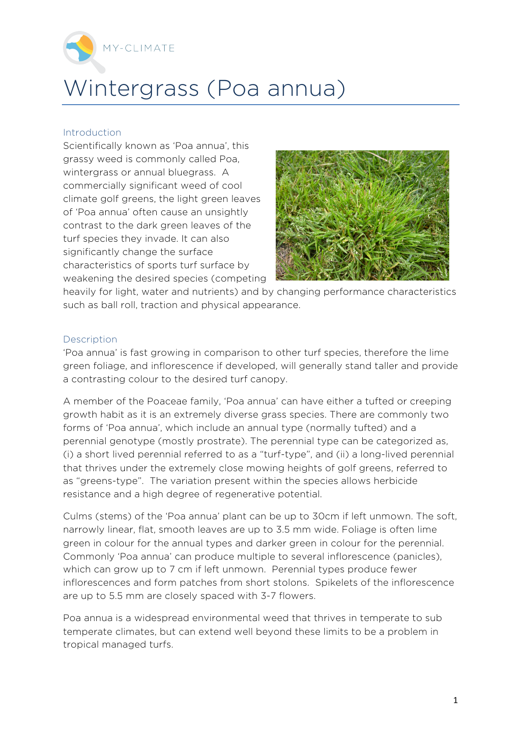

## Wintergrass (Poa annua)

## Introduction

Scientifically known as 'Poa annua', this grassy weed is commonly called Poa, wintergrass or annual bluegrass. A commercially significant weed of cool climate golf greens, the light green leaves of 'Poa annua' often cause an unsightly contrast to the dark green leaves of the turf species they invade. It can also significantly change the surface characteristics of sports turf surface by weakening the desired species (competing



heavily for light, water and nutrients) and by changing performance characteristics such as ball roll, traction and physical appearance.

## Description

'Poa annua' is fast growing in comparison to other turf species, therefore the lime green foliage, and inflorescence if developed, will generally stand taller and provide a contrasting colour to the desired turf canopy.

A member of the Poaceae family, 'Poa annua' can have either a tufted or creeping growth habit as it is an extremely diverse grass species. There are commonly two forms of 'Poa annua', which include an annual type (normally tufted) and a perennial genotype (mostly prostrate). The perennial type can be categorized as, (i) a short lived perennial referred to as a "turf-type", and (ii) a long-lived perennial that thrives under the extremely close mowing heights of golf greens, referred to as "greens-type". The variation present within the species allows herbicide resistance and a high degree of regenerative potential.

Culms (stems) of the 'Poa annua' plant can be up to 30cm if left unmown. The soft, narrowly linear, flat, smooth leaves are up to 3.5 mm wide. Foliage is often lime green in colour for the annual types and darker green in colour for the perennial. Commonly 'Poa annua' can produce multiple to several inflorescence (panicles), which can grow up to 7 cm if left unmown. Perennial types produce fewer inflorescences and form patches from short stolons. Spikelets of the inflorescence are up to 5.5 mm are closely spaced with 3-7 flowers.

Poa annua is a widespread environmental weed that thrives in temperate to sub temperate climates, but can extend well beyond these limits to be a problem in tropical managed turfs.